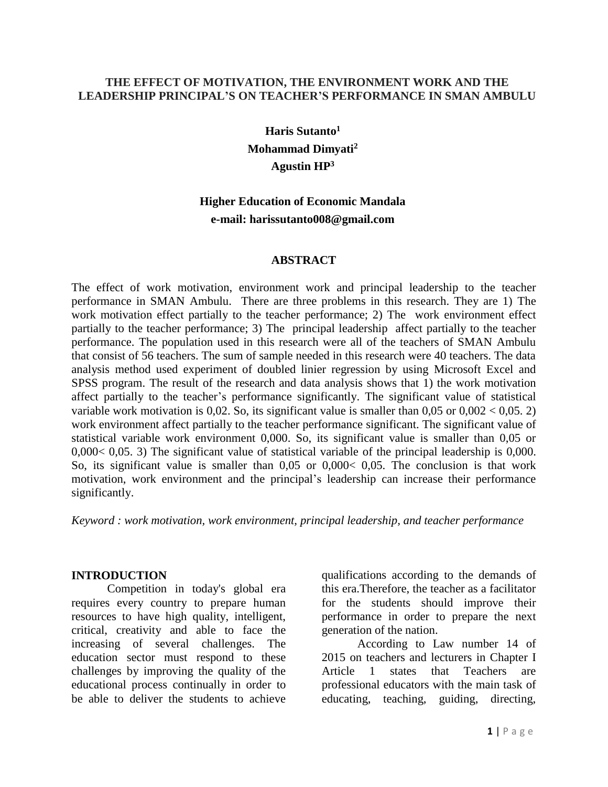#### **THE EFFECT OF MOTIVATION, THE ENVIRONMENT WORK AND THE LEADERSHIP PRINCIPAL'S ON TEACHER'S PERFORMANCE IN SMAN AMBULU**

**Haris Sutanto<sup>1</sup> Mohammad Dimyati<sup>2</sup> Agustin HP<sup>3</sup>**

# **Higher Education of Economic Mandala e-mail: harissutanto008@gmail.com**

#### **ABSTRACT**

The effect of work motivation, environment work and principal leadership to the teacher performance in SMAN Ambulu. There are three problems in this research. They are 1) The work motivation effect partially to the teacher performance; 2) The work environment effect partially to the teacher performance; 3) The principal leadership affect partially to the teacher performance. The population used in this research were all of the teachers of SMAN Ambulu that consist of 56 teachers. The sum of sample needed in this research were 40 teachers. The data analysis method used experiment of doubled linier regression by using Microsoft Excel and SPSS program. The result of the research and data analysis shows that 1) the work motivation affect partially to the teacher's performance significantly. The significant value of statistical variable work motivation is 0,02. So, its significant value is smaller than  $0.05$  or  $0.002 < 0.05$ . 2) work environment affect partially to the teacher performance significant. The significant value of statistical variable work environment 0,000. So, its significant value is smaller than 0,05 or 0,000< 0,05. 3) The significant value of statistical variable of the principal leadership is 0,000. So, its significant value is smaller than 0,05 or 0,000< 0,05. The conclusion is that work motivation, work environment and the principal's leadership can increase their performance significantly.

*Keyword : work motivation, work environment, principal leadership, and teacher performance*

#### **INTRODUCTION**

Competition in today's global era requires every country to prepare human resources to have high quality, intelligent, critical, creativity and able to face the increasing of several challenges. The education sector must respond to these challenges by improving the quality of the educational process continually in order to be able to deliver the students to achieve

qualifications according to the demands of this era.Therefore, the teacher as a facilitator for the students should improve their performance in order to prepare the next generation of the nation.

According to Law number 14 of 2015 on teachers and lecturers in Chapter I Article 1 states that Teachers are professional educators with the main task of educating, teaching, guiding, directing,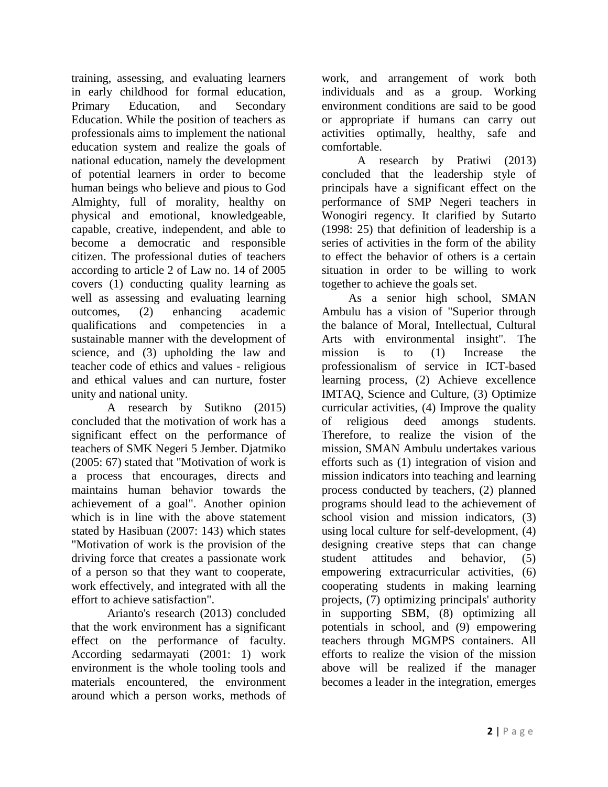training, assessing, and evaluating learners in early childhood for formal education, Primary Education, and Secondary Education. While the position of teachers as professionals aims to implement the national education system and realize the goals of national education, namely the development of potential learners in order to become human beings who believe and pious to God Almighty, full of morality, healthy on physical and emotional, knowledgeable, capable, creative, independent, and able to become a democratic and responsible citizen. The professional duties of teachers according to article 2 of Law no. 14 of 2005 covers (1) conducting quality learning as well as assessing and evaluating learning outcomes, (2) enhancing academic qualifications and competencies in a sustainable manner with the development of science, and (3) upholding the law and teacher code of ethics and values - religious and ethical values and can nurture, foster unity and national unity.

A research by Sutikno (2015) concluded that the motivation of work has a significant effect on the performance of teachers of SMK Negeri 5 Jember. Djatmiko (2005: 67) stated that "Motivation of work is a process that encourages, directs and maintains human behavior towards the achievement of a goal". Another opinion which is in line with the above statement stated by Hasibuan (2007: 143) which states "Motivation of work is the provision of the driving force that creates a passionate work of a person so that they want to cooperate, work effectively, and integrated with all the effort to achieve satisfaction".

Arianto's research (2013) concluded that the work environment has a significant effect on the performance of faculty. According sedarmayati (2001: 1) work environment is the whole tooling tools and materials encountered, the environment around which a person works, methods of

work, and arrangement of work both individuals and as a group. Working environment conditions are said to be good or appropriate if humans can carry out activities optimally, healthy, safe and comfortable.

A research by Pratiwi (2013) concluded that the leadership style of principals have a significant effect on the performance of SMP Negeri teachers in Wonogiri regency. It clarified by Sutarto (1998: 25) that definition of leadership is a series of activities in the form of the ability to effect the behavior of others is a certain situation in order to be willing to work together to achieve the goals set.

As a senior high school, SMAN Ambulu has a vision of "Superior through the balance of Moral, Intellectual, Cultural Arts with environmental insight". The mission is to (1) Increase the professionalism of service in ICT-based learning process, (2) Achieve excellence IMTAQ, Science and Culture, (3) Optimize curricular activities, (4) Improve the quality of religious deed amongs students. Therefore, to realize the vision of the mission, SMAN Ambulu undertakes various efforts such as (1) integration of vision and mission indicators into teaching and learning process conducted by teachers, (2) planned programs should lead to the achievement of school vision and mission indicators, (3) using local culture for self-development, (4) designing creative steps that can change student attitudes and behavior, (5) empowering extracurricular activities, (6) cooperating students in making learning projects, (7) optimizing principals' authority in supporting SBM, (8) optimizing all potentials in school, and (9) empowering teachers through MGMPS containers. All efforts to realize the vision of the mission above will be realized if the manager becomes a leader in the integration, emerges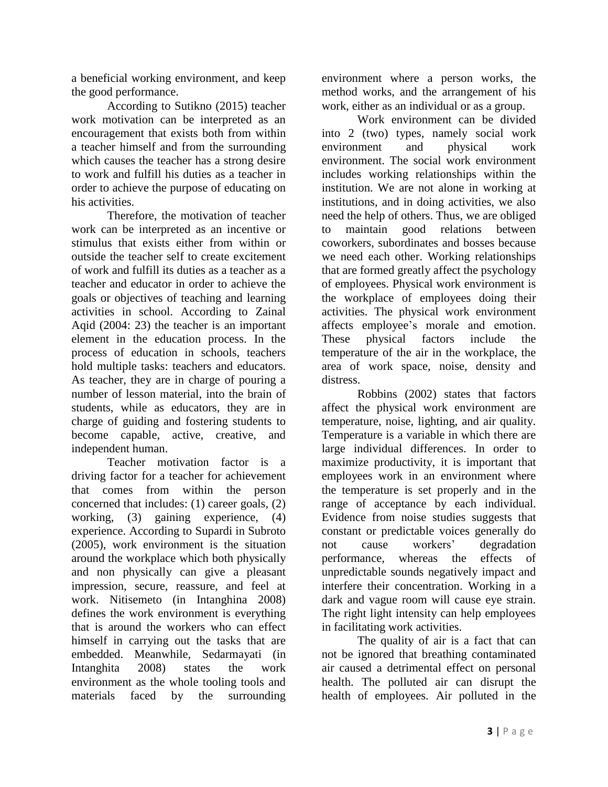a beneficial working environment, and keep the good performance.

According to Sutikno (2015) teacher work motivation can be interpreted as an encouragement that exists both from within a teacher himself and from the surrounding which causes the teacher has a strong desire to work and fulfill his duties as a teacher in order to achieve the purpose of educating on his activities.

Therefore, the motivation of teacher work can be interpreted as an incentive or stimulus that exists either from within or outside the teacher self to create excitement of work and fulfill its duties as a teacher as a teacher and educator in order to achieve the goals or objectives of teaching and learning activities in school. According to Zainal Aqid (2004: 23) the teacher is an important element in the education process. In the process of education in schools, teachers hold multiple tasks: teachers and educators. As teacher, they are in charge of pouring a number of lesson material, into the brain of students, while as educators, they are in charge of guiding and fostering students to become capable, active, creative, and independent human.

Teacher motivation factor is a driving factor for a teacher for achievement that comes from within the person concerned that includes: (1) career goals, (2) working, (3) gaining experience, (4) experience. According to Supardi in Subroto (2005), work environment is the situation around the workplace which both physically and non physically can give a pleasant impression, secure, reassure, and feel at work. Nitisemeto (in Intanghina 2008) defines the work environment is everything that is around the workers who can effect himself in carrying out the tasks that are embedded. Meanwhile, Sedarmayati (in Intanghita 2008) states the work environment as the whole tooling tools and materials faced by the surrounding

environment where a person works, the method works, and the arrangement of his work, either as an individual or as a group.

Work environment can be divided into 2 (two) types, namely social work environment and physical work environment. The social work environment includes working relationships within the institution. We are not alone in working at institutions, and in doing activities, we also need the help of others. Thus, we are obliged to maintain good relations between coworkers, subordinates and bosses because we need each other. Working relationships that are formed greatly affect the psychology of employees. Physical work environment is the workplace of employees doing their activities. The physical work environment affects employee's morale and emotion. These physical factors include the temperature of the air in the workplace, the area of work space, noise, density and distress.

Robbins (2002) states that factors affect the physical work environment are temperature, noise, lighting, and air quality. Temperature is a variable in which there are large individual differences. In order to maximize productivity, it is important that employees work in an environment where the temperature is set properly and in the range of acceptance by each individual. Evidence from noise studies suggests that constant or predictable voices generally do not cause workers' degradation performance, whereas the effects of unpredictable sounds negatively impact and interfere their concentration. Working in a dark and vague room will cause eye strain. The right light intensity can help employees in facilitating work activities.

The quality of air is a fact that can not be ignored that breathing contaminated air caused a detrimental effect on personal health. The polluted air can disrupt the health of employees. Air polluted in the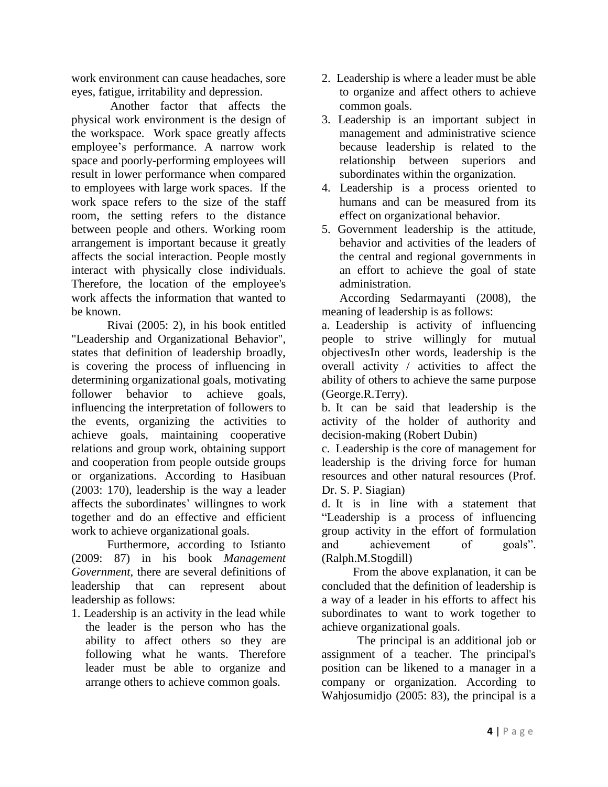work environment can cause headaches, sore eyes, fatigue, irritability and depression.

Another factor that affects the physical work environment is the design of the workspace. Work space greatly affects employee's performance. A narrow work space and poorly-performing employees will result in lower performance when compared to employees with large work spaces. If the work space refers to the size of the staff room, the setting refers to the distance between people and others. Working room arrangement is important because it greatly affects the social interaction. People mostly interact with physically close individuals. Therefore, the location of the employee's work affects the information that wanted to be known.

Rivai (2005: 2), in his book entitled "Leadership and Organizational Behavior", states that definition of leadership broadly, is covering the process of influencing in determining organizational goals, motivating follower behavior to achieve goals, influencing the interpretation of followers to the events, organizing the activities to achieve goals, maintaining cooperative relations and group work, obtaining support and cooperation from people outside groups or organizations. According to Hasibuan (2003: 170), leadership is the way a leader affects the subordinates' willingnes to work together and do an effective and efficient work to achieve organizational goals.

Furthermore, according to Istianto (2009: 87) in his book *Management Government*, there are several definitions of leadership that can represent about leadership as follows:

1. Leadership is an activity in the lead while the leader is the person who has the ability to affect others so they are following what he wants. Therefore leader must be able to organize and arrange others to achieve common goals.

- 2. Leadership is where a leader must be able to organize and affect others to achieve common goals.
- 3. Leadership is an important subject in management and administrative science because leadership is related to the relationship between superiors and subordinates within the organization.
- 4. Leadership is a process oriented to humans and can be measured from its effect on organizational behavior.
- 5. Government leadership is the attitude, behavior and activities of the leaders of the central and regional governments in an effort to achieve the goal of state administration.

According Sedarmayanti (2008), the meaning of leadership is as follows:

a. Leadership is activity of influencing people to strive willingly for mutual objectivesIn other words, leadership is the overall activity / activities to affect the ability of others to achieve the same purpose (George.R.Terry).

b. It can be said that leadership is the activity of the holder of authority and decision-making (Robert Dubin)

c. Leadership is the core of management for leadership is the driving force for human resources and other natural resources (Prof. Dr. S. P. Siagian)

d. It is in line with a statement that "Leadership is a process of influencing group activity in the effort of formulation and achievement of goals". (Ralph.M.Stogdill)

From the above explanation, it can be concluded that the definition of leadership is a way of a leader in his efforts to affect his subordinates to want to work together to achieve organizational goals.

The principal is an additional job or assignment of a teacher. The principal's position can be likened to a manager in a company or organization. According to Wahjosumidjo (2005: 83), the principal is a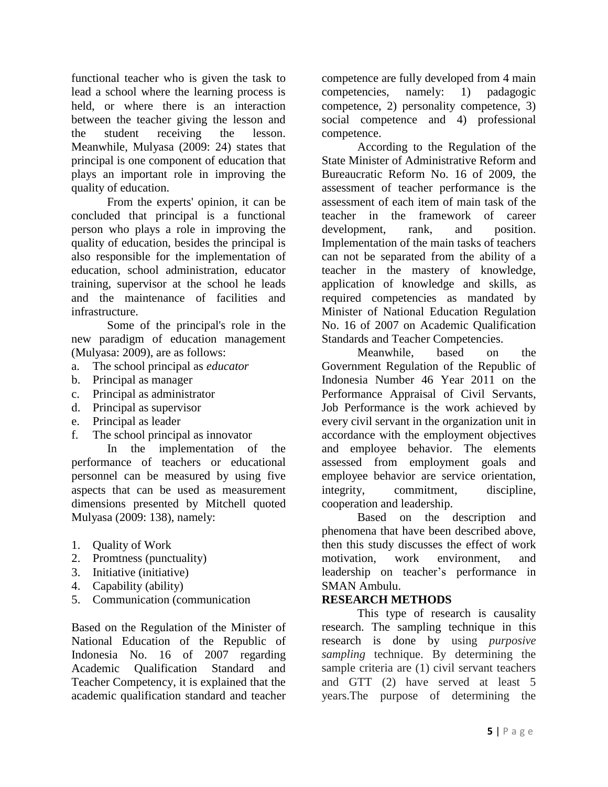functional teacher who is given the task to lead a school where the learning process is held, or where there is an interaction between the teacher giving the lesson and the student receiving the lesson. Meanwhile, Mulyasa (2009: 24) states that principal is one component of education that plays an important role in improving the quality of education.

From the experts' opinion, it can be concluded that principal is a functional person who plays a role in improving the quality of education, besides the principal is also responsible for the implementation of education, school administration, educator training, supervisor at the school he leads and the maintenance of facilities and infrastructure.

Some of the principal's role in the new paradigm of education management (Mulyasa: 2009), are as follows:

- a. The school principal as *educator*
- b. Principal as manager
- c. Principal as administrator
- d. Principal as supervisor
- e. Principal as leader
- f. The school principal as innovator

In the implementation of the performance of teachers or educational personnel can be measured by using five aspects that can be used as measurement dimensions presented by Mitchell quoted Mulyasa (2009: 138), namely:

- 1. Quality of Work
- 2. Promtness (punctuality)
- 3. Initiative (initiative)
- 4. Capability (ability)
- 5. Communication (communication

Based on the Regulation of the Minister of National Education of the Republic of Indonesia No. 16 of 2007 regarding Academic Qualification Standard and Teacher Competency, it is explained that the academic qualification standard and teacher

competence are fully developed from 4 main competencies, namely: 1) padagogic competence, 2) personality competence, 3) social competence and 4) professional competence.

According to the Regulation of the State Minister of Administrative Reform and Bureaucratic Reform No. 16 of 2009, the assessment of teacher performance is the assessment of each item of main task of the teacher in the framework of career development, rank, and position. Implementation of the main tasks of teachers can not be separated from the ability of a teacher in the mastery of knowledge, application of knowledge and skills, as required competencies as mandated by Minister of National Education Regulation No. 16 of 2007 on Academic Qualification Standards and Teacher Competencies.

Meanwhile, based on the Government Regulation of the Republic of Indonesia Number 46 Year 2011 on the Performance Appraisal of Civil Servants, Job Performance is the work achieved by every civil servant in the organization unit in accordance with the employment objectives and employee behavior. The elements assessed from employment goals and employee behavior are service orientation, integrity, commitment, discipline, cooperation and leadership.

Based on the description and phenomena that have been described above, then this study discusses the effect of work motivation, work environment, and leadership on teacher's performance in SMAN Ambulu.

## **RESEARCH METHODS**

This type of research is causality research. The sampling technique in this research is done by using *purposive sampling* technique. By determining the sample criteria are (1) civil servant teachers and GTT (2) have served at least 5 years.The purpose of determining the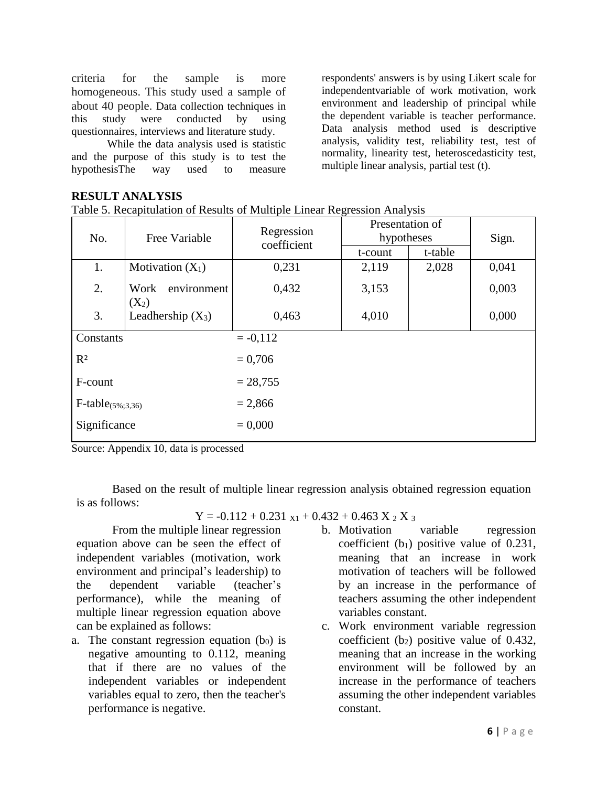criteria for the sample is more homogeneous. This study used a sample of about 40 people. Data collection techniques in this study were conducted by using questionnaires, interviews and literature study.

While the data analysis used is statistic and the purpose of this study is to test the hypothesisThe way used to measure

# **RESULT ANALYSIS**

Table 5. Recapitulation of Results of Multiple Linear Regression Analysis

| No.                           | Free Variable                  | Regression<br>coefficient | Presentation of<br>hypotheses |         | Sign. |  |
|-------------------------------|--------------------------------|---------------------------|-------------------------------|---------|-------|--|
|                               |                                |                           | t-count                       | t-table |       |  |
| 1.                            | Motivation $(X_1)$             | 0,231                     | 2,119                         | 2,028   | 0,041 |  |
| 2.                            | environment<br>Work<br>$(X_2)$ | 0,432                     | 3,153                         |         | 0,003 |  |
| 3.                            | Leadhership $(X_3)$            | 0,463                     | 4,010                         |         | 0,000 |  |
| Constants                     |                                | $= -0.112$                |                               |         |       |  |
| $R^2$                         |                                | $= 0,706$                 |                               |         |       |  |
| F-count                       |                                | $= 28,755$                |                               |         |       |  |
| $F\text{-table}_{(5\%;3,36)}$ |                                | $= 2,866$                 |                               |         |       |  |
| Significance                  |                                | $= 0,000$                 |                               |         |       |  |

Source: Appendix 10, data is processed

Based on the result of multiple linear regression analysis obtained regression equation is as follows:

 $Y = -0.112 + 0.231$   $x_1 + 0.432 + 0.463$   $X_2$   $X_3$ 

From the multiple linear regression equation above can be seen the effect of independent variables (motivation, work environment and principal's leadership) to the dependent variable (teacher's performance), while the meaning of multiple linear regression equation above can be explained as follows:

- a. The constant regression equation  $(b<sub>0</sub>)$  is negative amounting to 0.112, meaning that if there are no values of the independent variables or independent variables equal to zero, then the teacher's performance is negative.
- b. Motivation variable regression coefficient  $(b_1)$  positive value of 0.231, meaning that an increase in work motivation of teachers will be followed by an increase in the performance of teachers assuming the other independent variables constant.

respondents' answers is by using Likert scale for independentvariable of work motivation, work environment and leadership of principal while the dependent variable is teacher performance. Data analysis method used is descriptive analysis, validity test, reliability test, test of normality, linearity test, heteroscedasticity test,

multiple linear analysis, partial test (t).

c. Work environment variable regression coefficient  $(b_2)$  positive value of 0.432, meaning that an increase in the working environment will be followed by an increase in the performance of teachers assuming the other independent variables constant.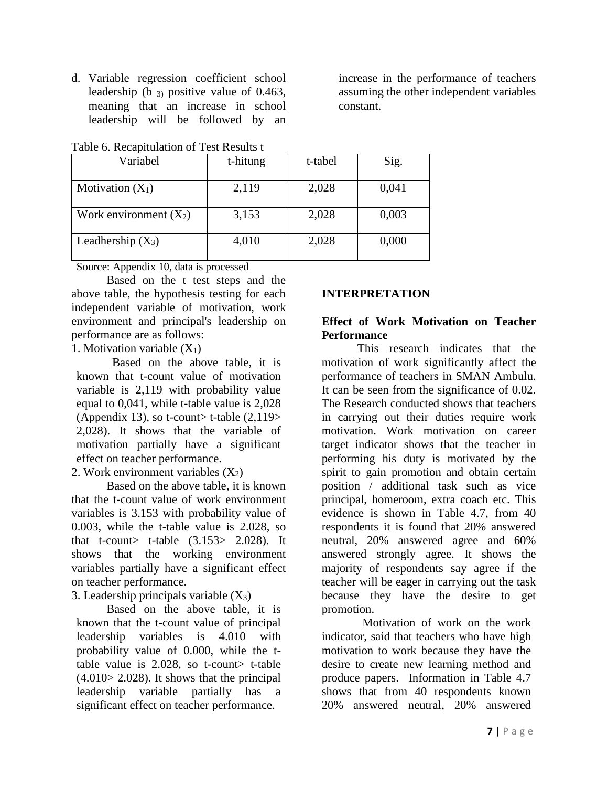d. Variable regression coefficient school leadership (b 3) positive value of 0.463, meaning that an increase in school leadership will be followed by an increase in the performance of teachers assuming the other independent variables constant.

| Variabel                 | t-hitung | t-tabel | Sig.  |
|--------------------------|----------|---------|-------|
| Motivation $(X_1)$       | 2,119    | 2,028   | 0,041 |
| Work environment $(X_2)$ | 3,153    | 2,028   | 0,003 |
| Leadhership $(X_3)$      | 4,010    | 2,028   | 0,000 |

Table 6. Recapitulation of Test Results t

Source: Appendix 10, data is processed

Based on the t test steps and the above table, the hypothesis testing for each independent variable of motivation, work environment and principal's leadership on performance are as follows:

1. Motivation variable  $(X_1)$ 

Based on the above table, it is known that t-count value of motivation variable is 2,119 with probability value equal to 0,041, while t-table value is 2,028 (Appendix 13), so t-count t-table  $(2,119)$ 2,028). It shows that the variable of motivation partially have a significant effect on teacher performance.

2. Work environment variables  $(X_2)$ 

Based on the above table, it is known that the t-count value of work environment variables is 3.153 with probability value of 0.003, while the t-table value is 2.028, so that t-count> t-table  $(3.153> 2.028)$ . It shows that the working environment variables partially have a significant effect on teacher performance.

3. Leadership principals variable  $(X_3)$ 

Based on the above table, it is known that the t-count value of principal leadership variables is 4.010 with probability value of 0.000, while the ttable value is  $2.028$ , so t-count t-table  $(4.010 > 2.028)$ . It shows that the principal leadership variable partially has a significant effect on teacher performance.

# **INTERPRETATION**

## **Effect of Work Motivation on Teacher Performance**

This research indicates that the motivation of work significantly affect the performance of teachers in SMAN Ambulu. It can be seen from the significance of 0.02. The Research conducted shows that teachers in carrying out their duties require work motivation. Work motivation on career target indicator shows that the teacher in performing his duty is motivated by the spirit to gain promotion and obtain certain position / additional task such as vice principal, homeroom, extra coach etc. This evidence is shown in Table 4.7, from 40 respondents it is found that 20% answered neutral, 20% answered agree and 60% answered strongly agree. It shows the majority of respondents say agree if the teacher will be eager in carrying out the task because they have the desire to get promotion.

Motivation of work on the work indicator, said that teachers who have high motivation to work because they have the desire to create new learning method and produce papers. Information in Table 4.7 shows that from 40 respondents known 20% answered neutral, 20% answered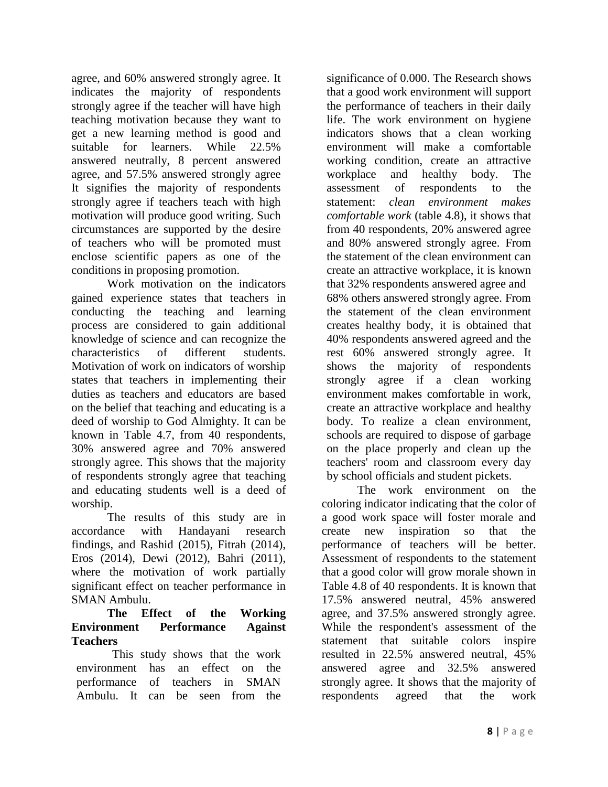agree, and 60% answered strongly agree. It indicates the majority of respondents strongly agree if the teacher will have high teaching motivation because they want to get a new learning method is good and suitable for learners. While 22.5% answered neutrally, 8 percent answered agree, and 57.5% answered strongly agree It signifies the majority of respondents strongly agree if teachers teach with high motivation will produce good writing. Such circumstances are supported by the desire of teachers who will be promoted must enclose scientific papers as one of the conditions in proposing promotion.

Work motivation on the indicators gained experience states that teachers in conducting the teaching and learning process are considered to gain additional knowledge of science and can recognize the characteristics of different students. Motivation of work on indicators of worship states that teachers in implementing their duties as teachers and educators are based on the belief that teaching and educating is a deed of worship to God Almighty. It can be known in Table 4.7, from 40 respondents, 30% answered agree and 70% answered strongly agree. This shows that the majority of respondents strongly agree that teaching and educating students well is a deed of worship.

The results of this study are in accordance with Handayani research findings, and Rashid (2015), Fitrah (2014), Eros (2014), Dewi (2012), Bahri (2011), where the motivation of work partially significant effect on teacher performance in SMAN Ambulu.

#### **The Effect of the Working Environment Performance Against Teachers**

This study shows that the work environment has an effect on the performance of teachers in SMAN Ambulu. It can be seen from the significance of 0.000. The Research shows that a good work environment will support the performance of teachers in their daily life. The work environment on hygiene indicators shows that a clean working environment will make a comfortable working condition, create an attractive workplace and healthy body. The assessment of respondents to the statement: *clean environment makes comfortable work* (table 4.8), it shows that from 40 respondents, 20% answered agree and 80% answered strongly agree. From the statement of the clean environment can create an attractive workplace, it is known that 32% respondents answered agree and 68% others answered strongly agree. From the statement of the clean environment creates healthy body, it is obtained that 40% respondents answered agreed and the rest 60% answered strongly agree. It shows the majority of respondents strongly agree if a clean working environment makes comfortable in work, create an attractive workplace and healthy body. To realize a clean environment, schools are required to dispose of garbage on the place properly and clean up the teachers' room and classroom every day by school officials and student pickets.

The work environment on the coloring indicator indicating that the color of a good work space will foster morale and create new inspiration so that the performance of teachers will be better. Assessment of respondents to the statement that a good color will grow morale shown in Table 4.8 of 40 respondents. It is known that 17.5% answered neutral, 45% answered agree, and 37.5% answered strongly agree. While the respondent's assessment of the statement that suitable colors inspire resulted in 22.5% answered neutral, 45% answered agree and 32.5% answered strongly agree. It shows that the majority of respondents agreed that the work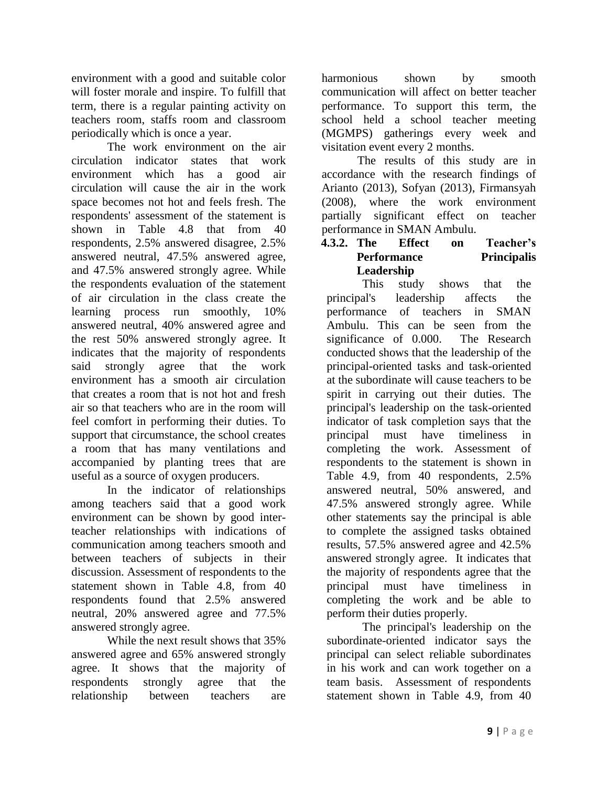environment with a good and suitable color will foster morale and inspire. To fulfill that term, there is a regular painting activity on teachers room, staffs room and classroom periodically which is once a year.

The work environment on the air circulation indicator states that work environment which has a good air circulation will cause the air in the work space becomes not hot and feels fresh. The respondents' assessment of the statement is shown in Table 4.8 that from 40 respondents, 2.5% answered disagree, 2.5% answered neutral, 47.5% answered agree, and 47.5% answered strongly agree. While the respondents evaluation of the statement of air circulation in the class create the learning process run smoothly, 10% answered neutral, 40% answered agree and the rest 50% answered strongly agree. It indicates that the majority of respondents said strongly agree that the work environment has a smooth air circulation that creates a room that is not hot and fresh air so that teachers who are in the room will feel comfort in performing their duties. To support that circumstance, the school creates a room that has many ventilations and accompanied by planting trees that are useful as a source of oxygen producers.

In the indicator of relationships among teachers said that a good work environment can be shown by good interteacher relationships with indications of communication among teachers smooth and between teachers of subjects in their discussion. Assessment of respondents to the statement shown in Table 4.8, from 40 respondents found that 2.5% answered neutral, 20% answered agree and 77.5% answered strongly agree.

While the next result shows that 35% answered agree and 65% answered strongly agree. It shows that the majority of respondents strongly agree that the relationship between teachers are

harmonious shown by smooth communication will affect on better teacher performance. To support this term, the school held a school teacher meeting (MGMPS) gatherings every week and visitation event every 2 months.

The results of this study are in accordance with the research findings of Arianto (2013), Sofyan (2013), Firmansyah (2008), where the work environment partially significant effect on teacher performance in SMAN Ambulu.

## **4.3.2. The Effect on Teacher's Performance Principalis Leadership**

This study shows that the principal's leadership affects the performance of teachers in SMAN Ambulu. This can be seen from the significance of 0.000. The Research conducted shows that the leadership of the principal-oriented tasks and task-oriented at the subordinate will cause teachers to be spirit in carrying out their duties. The principal's leadership on the task-oriented indicator of task completion says that the principal must have timeliness in completing the work. Assessment of respondents to the statement is shown in Table 4.9, from 40 respondents, 2.5% answered neutral, 50% answered, and 47.5% answered strongly agree. While other statements say the principal is able to complete the assigned tasks obtained results, 57.5% answered agree and 42.5% answered strongly agree. It indicates that the majority of respondents agree that the principal must have timeliness in completing the work and be able to perform their duties properly.

The principal's leadership on the subordinate-oriented indicator says the principal can select reliable subordinates in his work and can work together on a team basis. Assessment of respondents statement shown in Table 4.9, from 40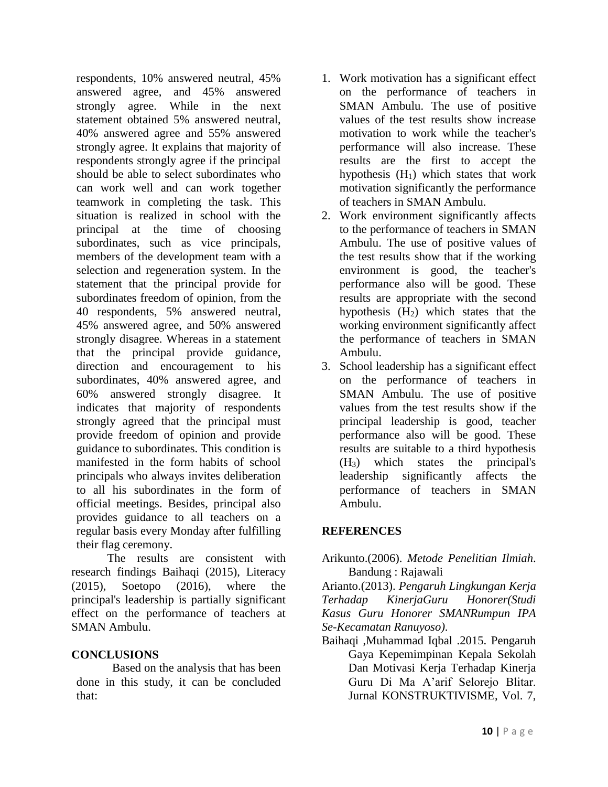respondents, 10% answered neutral, 45% answered agree, and 45% answered strongly agree. While in the next statement obtained 5% answered neutral, 40% answered agree and 55% answered strongly agree. It explains that majority of respondents strongly agree if the principal should be able to select subordinates who can work well and can work together teamwork in completing the task. This situation is realized in school with the principal at the time of choosing subordinates, such as vice principals, members of the development team with a selection and regeneration system. In the statement that the principal provide for subordinates freedom of opinion, from the 40 respondents, 5% answered neutral, 45% answered agree, and 50% answered strongly disagree. Whereas in a statement that the principal provide guidance, direction and encouragement to his subordinates, 40% answered agree, and 60% answered strongly disagree. It indicates that majority of respondents strongly agreed that the principal must provide freedom of opinion and provide guidance to subordinates. This condition is manifested in the form habits of school principals who always invites deliberation to all his subordinates in the form of official meetings. Besides, principal also provides guidance to all teachers on a regular basis every Monday after fulfilling their flag ceremony.

The results are consistent with research findings Baihaqi (2015), Literacy (2015), Soetopo (2016), where the principal's leadership is partially significant effect on the performance of teachers at SMAN Ambulu.

## **CONCLUSIONS**

Based on the analysis that has been done in this study, it can be concluded that:

- 1. Work motivation has a significant effect on the performance of teachers in SMAN Ambulu. The use of positive values of the test results show increase motivation to work while the teacher's performance will also increase. These results are the first to accept the hypothesis  $(H_1)$  which states that work motivation significantly the performance of teachers in SMAN Ambulu.
- 2. Work environment significantly affects to the performance of teachers in SMAN Ambulu. The use of positive values of the test results show that if the working environment is good, the teacher's performance also will be good. These results are appropriate with the second hypothesis (H2) which states that the working environment significantly affect the performance of teachers in SMAN Ambulu.
- 3. School leadership has a significant effect on the performance of teachers in SMAN Ambulu. The use of positive values from the test results show if the principal leadership is good, teacher performance also will be good. These results are suitable to a third hypothesis (H3) which states the principal's leadership significantly affects the performance of teachers in SMAN Ambulu.

## **REFERENCES**

## Arikunto.(2006). *Metode Penelitian Ilmiah*. Bandung : Rajawali

Arianto.(2013). *Pengaruh Lingkungan Kerja Terhadap KinerjaGuru Honorer(Studi Kasus Guru Honorer SMANRumpun IPA Se-Kecamatan Ranuyoso)*.

Baihaqi ,Muhammad Iqbal .2015. Pengaruh Gaya Kepemimpinan Kepala Sekolah Dan Motivasi Kerja Terhadap Kinerja Guru Di Ma A'arif Selorejo Blitar. Jurnal KONSTRUKTIVISME, Vol. 7,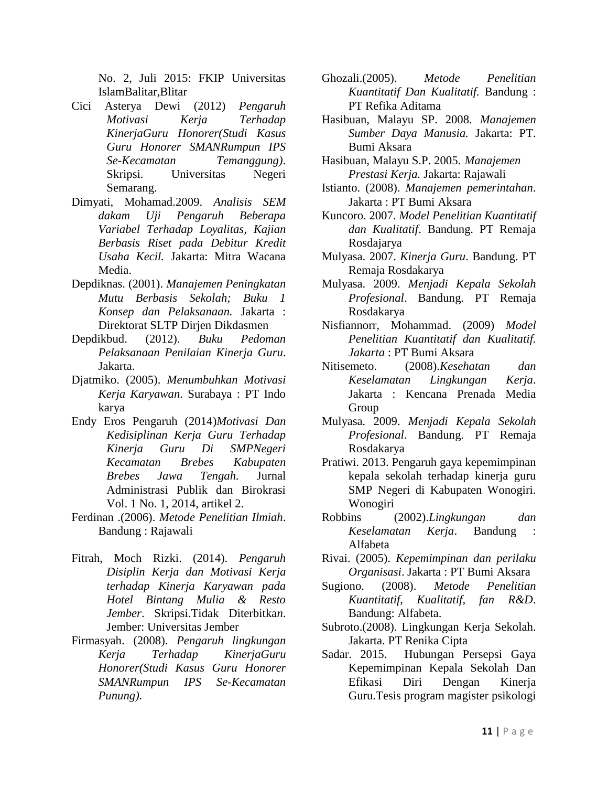No. 2, Juli 2015: FKIP Universitas IslamBalitar,Blitar

- Cici Asterya Dewi (2012) *Pengaruh Motivasi Kerja Terhadap KinerjaGuru Honorer(Studi Kasus Guru Honorer SMANRumpun IPS Se-Kecamatan Temanggung)*. Skripsi. Universitas Negeri Semarang.
- Dimyati, Mohamad.2009. *Analisis SEM dakam Uji Pengaruh Beberapa Variabel Terhadap Loyalitas, Kajian Berbasis Riset pada Debitur Kredit Usaha Kecil.* Jakarta: Mitra Wacana Media.
- Depdiknas. (2001). *Manajemen Peningkatan Mutu Berbasis Sekolah; Buku 1 Konsep dan Pelaksanaan.* Jakarta : Direktorat SLTP Dirjen Dikdasmen
- Depdikbud. (2012). *Buku Pedoman Pelaksanaan Penilaian Kinerja Guru*. Jakarta.
- Djatmiko. (2005). *Menumbuhkan Motivasi Kerja Karyawan*. Surabaya : PT Indo karya
- Endy Eros Pengaruh (2014)*Motivasi Dan Kedisiplinan Kerja Guru Terhadap Kinerja Guru Di SMPNegeri Kecamatan Brebes Kabupaten Brebes Jawa Tengah.* Jurnal Administrasi Publik dan Birokrasi Vol. 1 No. 1, 2014, artikel 2.
- Ferdinan .(2006). *Metode Penelitian Ilmiah*. Bandung : Rajawali
- Fitrah, Moch Rizki. (2014). *Pengaruh Disiplin Kerja dan Motivasi Kerja terhadap Kinerja Karyawan pada Hotel Bintang Mulia & Resto Jember*. Skripsi.Tidak Diterbitka*n*. Jember: Universitas Jember
- Firmasyah. (2008). *Pengaruh lingkungan Kerja Terhadap KinerjaGuru Honorer(Studi Kasus Guru Honorer SMANRumpun IPS Se-Kecamatan Punung)*.
- Ghozali.(2005). *Metode Penelitian Kuantitatif Dan Kualitatif.* Bandung : PT Refika Aditama
- Hasibuan, Malayu SP. 2008. *Manajemen Sumber Daya Manusia.* Jakarta: PT. Bumi Aksara
- Hasibuan, Malayu S.P. 2005. *Manajemen Prestasi Kerja.* Jakarta: Rajawali
- Istianto. (2008). *Manajemen pemerintahan*. Jakarta : PT Bumi Aksara
- Kuncoro. 2007. *Model Penelitian Kuantitatif dan Kualitatif*. Bandung. PT Remaja Rosdajarya
- Mulyasa. 2007. *Kinerja Guru*. Bandung. PT Remaja Rosdakarya
- Mulyasa. 2009. *Menjadi Kepala Sekolah Profesional*. Bandung. PT Remaja Rosdakarya
- Nisfiannorr, Mohammad. (2009) *Model Penelitian Kuantitatif dan Kualitatif. Jakarta* : PT Bumi Aksara
- Nitisemeto. (2008).*Kesehatan dan Keselamatan Lingkungan Kerja*. Jakarta : Kencana Prenada Media Group
- Mulyasa. 2009. *Menjadi Kepala Sekolah Profesional*. Bandung. PT Remaja Rosdakarya
- Pratiwi. 2013. Pengaruh gaya kepemimpinan kepala sekolah terhadap kinerja guru SMP Negeri di Kabupaten Wonogiri. Wonogiri
- Robbins (2002).*Lingkungan dan Keselamatan Kerja*. Bandung : Alfabeta
- Rivai. (2005). *Kepemimpinan dan perilaku Organisasi*. Jakarta : PT Bumi Aksara
- Sugiono. (2008). *Metode Penelitian Kuantitatif, Kualitatif, fan R&D*. Bandung: Alfabeta.
- Subroto.(2008). Lingkungan Kerja Sekolah. Jakarta. PT Renika Cipta
- Sadar. 2015. Hubungan Persepsi Gaya Kepemimpinan Kepala Sekolah Dan Efikasi Diri Dengan Kinerja Guru.Tesis program magister psikologi